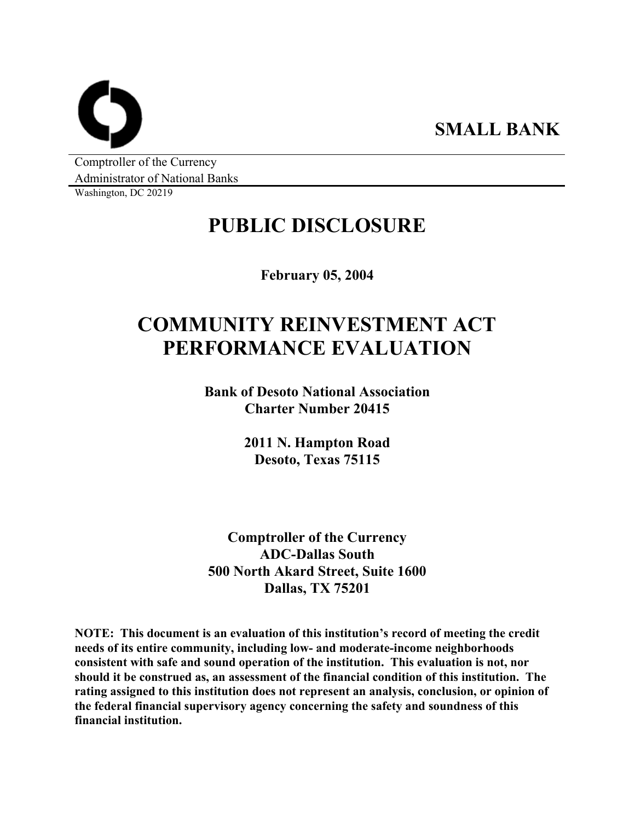**SMALL BANK** 

Comptroller of the Currency Administrator of National Banks

Washington, DC 20219

# **PUBLIC DISCLOSURE**

**February 05, 2004** 

# **COMMUNITY REINVESTMENT ACT PERFORMANCE EVALUATION**

**Bank of Desoto National Association Charter Number 20415** 

> **2011 N. Hampton Road Desoto, Texas 75115**

**Comptroller of the Currency ADC-Dallas South 500 North Akard Street, Suite 1600 Dallas, TX 75201** 

**NOTE: This document is an evaluation of this institution's record of meeting the credit needs of its entire community, including low- and moderate-income neighborhoods consistent with safe and sound operation of the institution. This evaluation is not, nor should it be construed as, an assessment of the financial condition of this institution. The rating assigned to this institution does not represent an analysis, conclusion, or opinion of the federal financial supervisory agency concerning the safety and soundness of this financial institution.**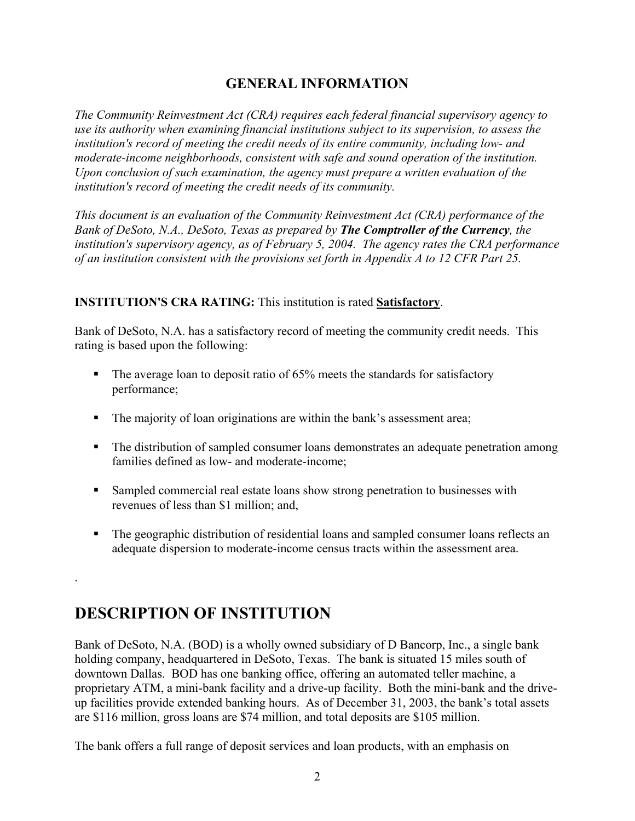## **GENERAL INFORMATION**

*The Community Reinvestment Act (CRA) requires each federal financial supervisory agency to use its authority when examining financial institutions subject to its supervision, to assess the institution's record of meeting the credit needs of its entire community, including low- and moderate-income neighborhoods, consistent with safe and sound operation of the institution. Upon conclusion of such examination, the agency must prepare a written evaluation of the institution's record of meeting the credit needs of its community.* 

*This document is an evaluation of the Community Reinvestment Act (CRA) performance of the Bank of DeSoto, N.A., DeSoto, Texas as prepared by The Comptroller of the Currency, the institution's supervisory agency, as of February 5, 2004. The agency rates the CRA performance of an institution consistent with the provisions set forth in Appendix A to 12 CFR Part 25.* 

### **INSTITUTION'S CRA RATING:** This institution is rated **Satisfactory**.

Bank of DeSoto, N.A. has a satisfactory record of meeting the community credit needs. This rating is based upon the following:

- The average loan to deposit ratio of 65% meets the standards for satisfactory performance;
- The majority of loan originations are within the bank's assessment area;
- The distribution of sampled consumer loans demonstrates an adequate penetration among families defined as low- and moderate-income;
- **Sampled commercial real estate loans show strong penetration to businesses with** revenues of less than \$1 million; and,
- **The geographic distribution of residential loans and sampled consumer loans reflects an** adequate dispersion to moderate-income census tracts within the assessment area.

## **DESCRIPTION OF INSTITUTION**

.

Bank of DeSoto, N.A. (BOD) is a wholly owned subsidiary of D Bancorp, Inc., a single bank holding company, headquartered in DeSoto, Texas. The bank is situated 15 miles south of downtown Dallas. BOD has one banking office, offering an automated teller machine, a proprietary ATM, a mini-bank facility and a drive-up facility. Both the mini-bank and the driveup facilities provide extended banking hours. As of December 31, 2003, the bank's total assets are \$116 million, gross loans are \$74 million, and total deposits are \$105 million.

The bank offers a full range of deposit services and loan products, with an emphasis on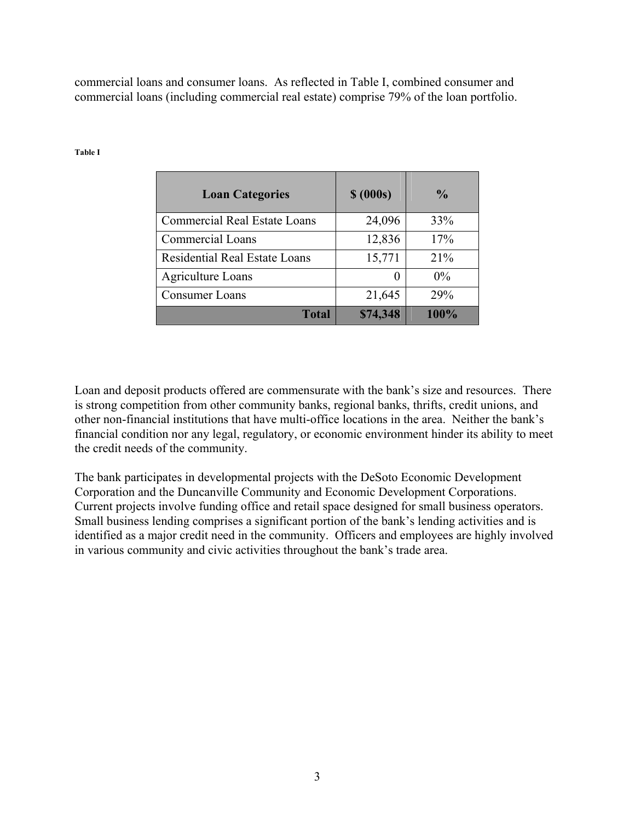commercial loans and consumer loans. As reflected in Table I, combined consumer and commercial loans (including commercial real estate) comprise 79% of the loan portfolio.

| <b>Loan Categories</b>               | \$ (000s) | $\frac{6}{9}$ |
|--------------------------------------|-----------|---------------|
| <b>Commercial Real Estate Loans</b>  | 24,096    | 33%           |
| <b>Commercial Loans</b>              | 12,836    | 17%           |
| <b>Residential Real Estate Loans</b> | 15,771    | 21%           |
| <b>Agriculture Loans</b>             | $\theta$  | $0\%$         |
| Consumer Loans                       | 21,645    | 29%           |
| <b>Total</b>                         | \$74,348  | 100%          |

#### **Table I**

Loan and deposit products offered are commensurate with the bank's size and resources. There is strong competition from other community banks, regional banks, thrifts, credit unions, and other non-financial institutions that have multi-office locations in the area. Neither the bank's financial condition nor any legal, regulatory, or economic environment hinder its ability to meet the credit needs of the community.

The bank participates in developmental projects with the DeSoto Economic Development Corporation and the Duncanville Community and Economic Development Corporations. Current projects involve funding office and retail space designed for small business operators. Small business lending comprises a significant portion of the bank's lending activities and is identified as a major credit need in the community. Officers and employees are highly involved in various community and civic activities throughout the bank's trade area.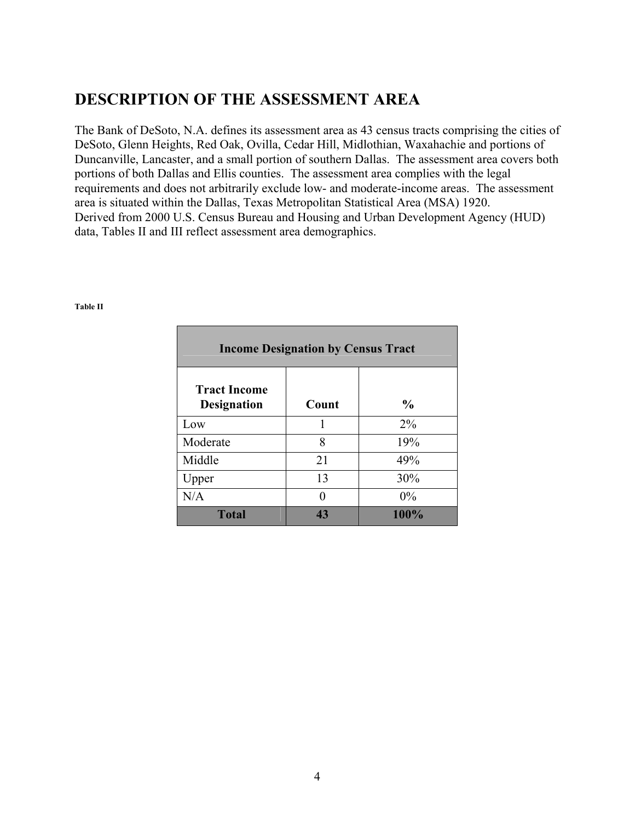## **DESCRIPTION OF THE ASSESSMENT AREA**

The Bank of DeSoto, N.A. defines its assessment area as 43 census tracts comprising the cities of DeSoto, Glenn Heights, Red Oak, Ovilla, Cedar Hill, Midlothian, Waxahachie and portions of Duncanville, Lancaster, and a small portion of southern Dallas. The assessment area covers both portions of both Dallas and Ellis counties. The assessment area complies with the legal requirements and does not arbitrarily exclude low- and moderate-income areas. The assessment area is situated within the Dallas, Texas Metropolitan Statistical Area (MSA) 1920. Derived from 2000 U.S. Census Bureau and Housing and Urban Development Agency (HUD) data, Tables II and III reflect assessment area demographics.

| <b>Income Designation by Census Tract</b> |       |               |  |  |  |  |  |
|-------------------------------------------|-------|---------------|--|--|--|--|--|
| <b>Tract Income</b><br><b>Designation</b> | Count | $\frac{0}{0}$ |  |  |  |  |  |
| Low                                       | 1     | $2\%$         |  |  |  |  |  |
| Moderate                                  | 8     | 19%           |  |  |  |  |  |
| Middle                                    | 21    | 49%           |  |  |  |  |  |
| Upper                                     | 13    | 30%           |  |  |  |  |  |
| N/A                                       |       | 0%            |  |  |  |  |  |
| <b>Total</b>                              | 43    | 100%          |  |  |  |  |  |

#### **Table II**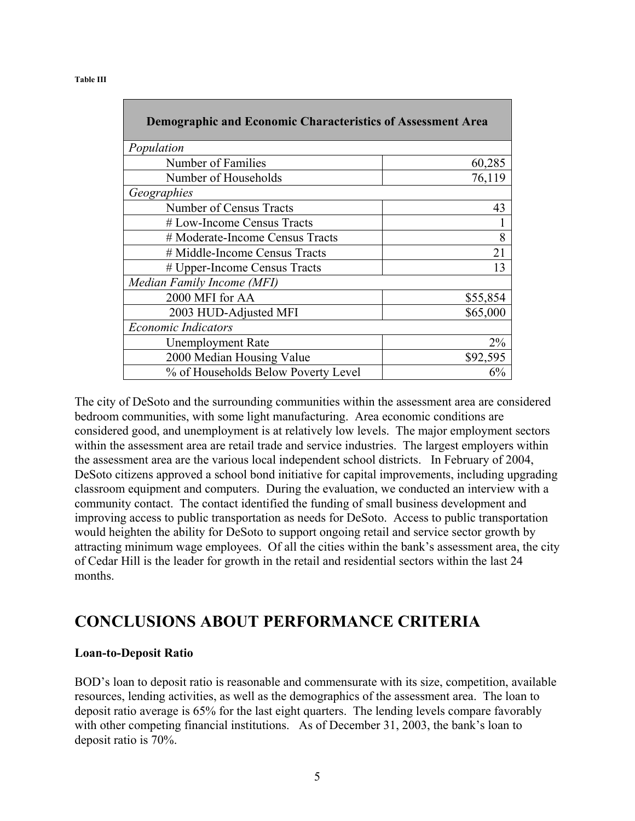| <b>Demographic and Economic Characteristics of Assessment Area</b> |          |
|--------------------------------------------------------------------|----------|
|                                                                    |          |
| Population                                                         |          |
| Number of Families                                                 | 60,285   |
| Number of Households                                               | 76,119   |
| Geographies                                                        |          |
| Number of Census Tracts                                            | 43       |
| # Low-Income Census Tracts                                         |          |
| # Moderate-Income Census Tracts                                    | 8        |
| # Middle-Income Census Tracts                                      | 21       |
| # Upper-Income Census Tracts                                       | 13       |
| Median Family Income (MFI)                                         |          |
| 2000 MFI for AA                                                    | \$55,854 |
| 2003 HUD-Adjusted MFI                                              | \$65,000 |
| <b>Economic Indicators</b>                                         |          |
| <b>Unemployment Rate</b>                                           | $2\%$    |
| 2000 Median Housing Value                                          | \$92,595 |
| % of Households Below Poverty Level                                | 6%       |

The city of DeSoto and the surrounding communities within the assessment area are considered bedroom communities, with some light manufacturing. Area economic conditions are considered good, and unemployment is at relatively low levels. The major employment sectors within the assessment area are retail trade and service industries. The largest employers within the assessment area are the various local independent school districts. In February of 2004, DeSoto citizens approved a school bond initiative for capital improvements, including upgrading classroom equipment and computers. During the evaluation, we conducted an interview with a community contact. The contact identified the funding of small business development and improving access to public transportation as needs for DeSoto. Access to public transportation would heighten the ability for DeSoto to support ongoing retail and service sector growth by attracting minimum wage employees. Of all the cities within the bank's assessment area, the city of Cedar Hill is the leader for growth in the retail and residential sectors within the last 24 months.

## **CONCLUSIONS ABOUT PERFORMANCE CRITERIA**

### **Loan-to-Deposit Ratio**

BOD's loan to deposit ratio is reasonable and commensurate with its size, competition, available resources, lending activities, as well as the demographics of the assessment area. The loan to deposit ratio average is 65% for the last eight quarters. The lending levels compare favorably with other competing financial institutions. As of December 31, 2003, the bank's loan to deposit ratio is 70%.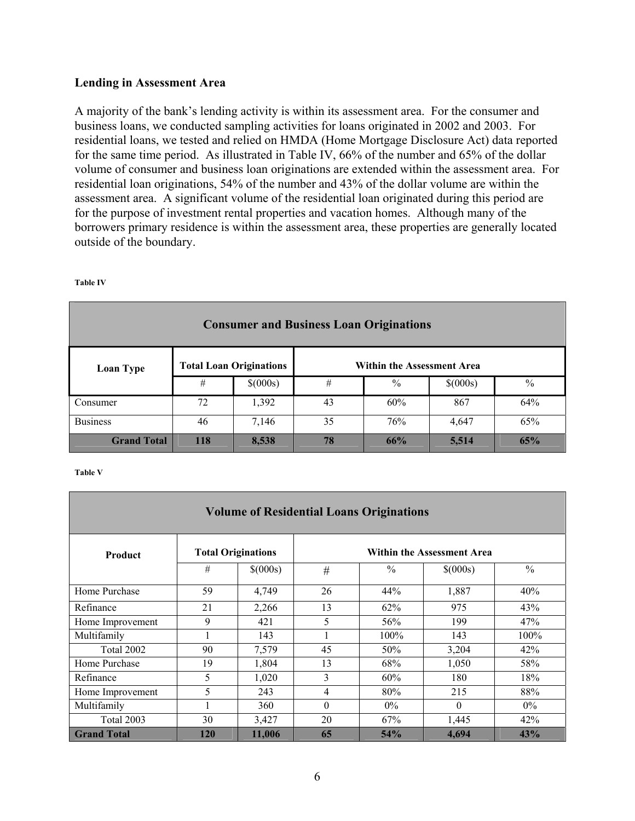#### **Lending in Assessment Area**

A majority of the bank's lending activity is within its assessment area. For the consumer and business loans, we conducted sampling activities for loans originated in 2002 and 2003. For residential loans, we tested and relied on HMDA (Home Mortgage Disclosure Act) data reported for the same time period. As illustrated in Table IV, 66% of the number and 65% of the dollar volume of consumer and business loan originations are extended within the assessment area. For residential loan originations, 54% of the number and 43% of the dollar volume are within the assessment area. A significant volume of the residential loan originated during this period are for the purpose of investment rental properties and vacation homes. Although many of the borrowers primary residence is within the assessment area, these properties are generally located outside of the boundary.

| <b>Consumer and Business Loan Originations</b> |     |                                |    |      |          |               |  |  |
|------------------------------------------------|-----|--------------------------------|----|------|----------|---------------|--|--|
| Loan Type                                      |     | <b>Total Loan Originations</b> |    |      |          |               |  |  |
|                                                | #   | \$(000s)                       | #  | $\%$ | \$(000s) | $\frac{0}{0}$ |  |  |
| Consumer                                       | 72  | 1,392                          | 43 | 60%  | 867      | 64%           |  |  |
| <b>Business</b>                                | 46  | 7,146                          | 35 | 76%  | 4,647    | 65%           |  |  |
| <b>Grand Total</b>                             | 118 | 8,538                          | 78 | 66%  | 5,514    | 65%           |  |  |

**Table IV** 

**Table V** 

| <b>Volume of Residential Loans Originations</b> |                           |          |          |                                   |          |               |  |  |
|-------------------------------------------------|---------------------------|----------|----------|-----------------------------------|----------|---------------|--|--|
| <b>Product</b>                                  | <b>Total Originations</b> |          |          | <b>Within the Assessment Area</b> |          |               |  |  |
|                                                 | #                         | \$(000s) | #        | $\frac{0}{0}$                     | \$(000s) | $\frac{0}{0}$ |  |  |
| Home Purchase                                   | 59                        | 4,749    | 26       | 44%                               | 1,887    | 40%           |  |  |
| Refinance                                       | 21                        | 2,266    | 13       | 62%                               | 975      | 43%           |  |  |
| Home Improvement                                | 9                         | 421      | 5        | 56%                               | 199      | 47%           |  |  |
| Multifamily                                     |                           | 143      |          | 100%                              | 143      | $100\%$       |  |  |
| Total 2002                                      | 90                        | 7,579    | 45       | 50%                               | 3,204    | 42%           |  |  |
| Home Purchase                                   | 19                        | 1,804    | 13       | 68%                               | 1,050    | 58%           |  |  |
| Refinance                                       | 5                         | 1,020    | 3        | 60%                               | 180      | 18%           |  |  |
| Home Improvement                                | 5                         | 243      | 4        | 80%                               | 215      | 88%           |  |  |
| Multifamily                                     |                           | 360      | $\theta$ | $0\%$                             | $\theta$ | $0\%$         |  |  |
| Total 2003                                      | 30                        | 3,427    | 20       | 67%                               | 1,445    | 42%           |  |  |
| <b>Grand Total</b>                              | 120                       | 11,006   | 65       | 54%                               | 4,694    | 43%           |  |  |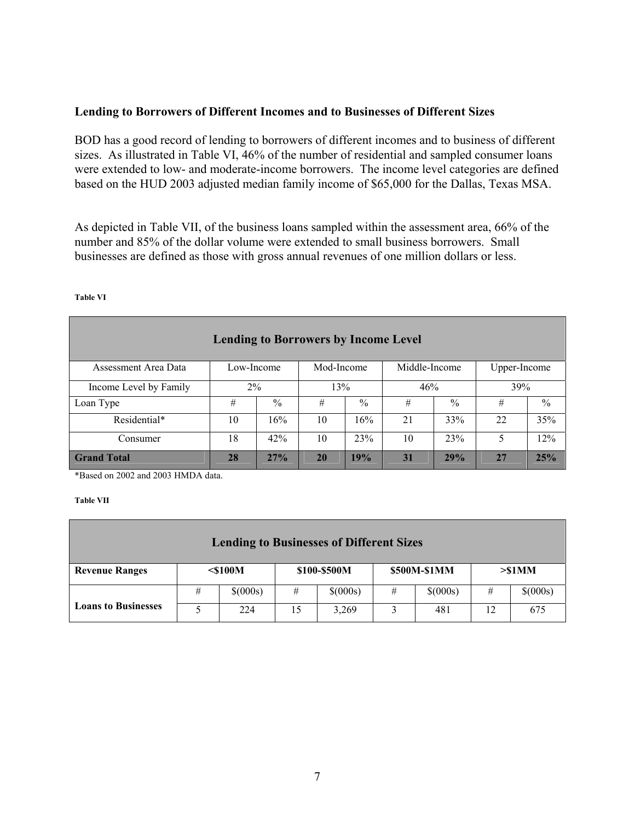### **Lending to Borrowers of Different Incomes and to Businesses of Different Sizes**

BOD has a good record of lending to borrowers of different incomes and to business of different sizes. As illustrated in Table VI, 46% of the number of residential and sampled consumer loans were extended to low- and moderate-income borrowers. The income level categories are defined based on the HUD 2003 adjusted median family income of \$65,000 for the Dallas, Texas MSA.

As depicted in Table VII, of the business loans sampled within the assessment area, 66% of the number and 85% of the dollar volume were extended to small business borrowers. Small businesses are defined as those with gross annual revenues of one million dollars or less.

| <b>Lending to Borrowers by Income Level</b> |                                                           |               |     |      |     |               |     |               |
|---------------------------------------------|-----------------------------------------------------------|---------------|-----|------|-----|---------------|-----|---------------|
| Assessment Area Data                        | Middle-Income<br>Mod-Income<br>Upper-Income<br>Low-Income |               |     |      |     |               |     |               |
| Income Level by Family                      | $2\%$                                                     |               | 13% |      | 46% |               | 39% |               |
| Loan Type                                   | #                                                         | $\frac{0}{0}$ | #   | $\%$ | #   | $\frac{0}{0}$ | #   | $\frac{0}{0}$ |
| Residential*                                | 10                                                        | 16%           | 10  | 16%  | 21  | 33%           | 22  | 35%           |
| Consumer                                    | 18                                                        | 42%           | 10  | 23%  | 10  | 23%           | 5   | 12%           |
| <b>Grand Total</b>                          | 28                                                        | 27%           | 20  | 19%  | 31  | 29%           | 27  | 25%           |

#### **Table VI**

\*Based on 2002 and 2003 HMDA data.

#### **Table VII**

| <b>Lending to Businesses of Different Sizes</b> |            |          |              |          |              |          |           |          |  |
|-------------------------------------------------|------------|----------|--------------|----------|--------------|----------|-----------|----------|--|
| <b>Revenue Ranges</b>                           | $<$ \$100M |          | \$100-\$500M |          | \$500M-\$1MM |          | $> $1$ MM |          |  |
|                                                 | #          | \$(000s) | #            | \$(000s) | #            | \$(000s) | #         | \$(000s) |  |
| <b>Loans to Businesses</b>                      |            | 224      | 15           | 3,269    |              | 481      | 12        | 675      |  |